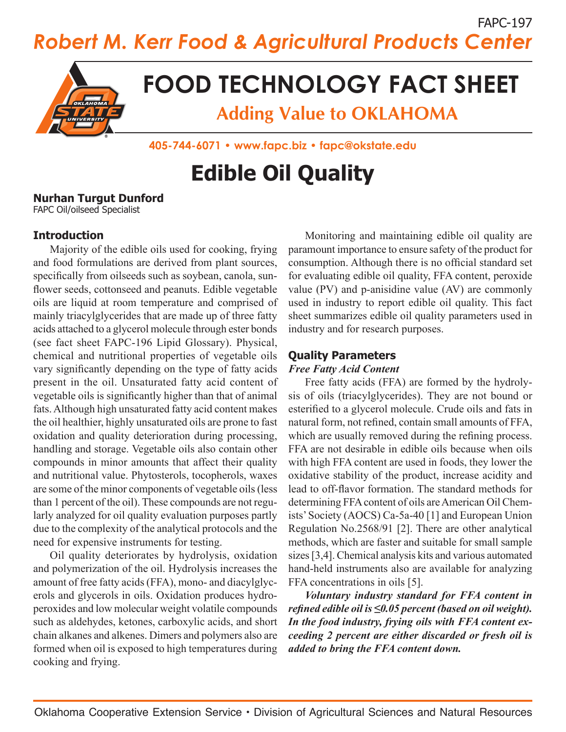FAPC-197 *Robert M. Kerr Food & Agricultural Products Center*



# **FOOD TECHNOLOGY FACT SHEET**

**Adding Value to OKLAHOMA**

**405-744-6071 • www.fapc.biz • fapc@okstate.edu**

# **Edible Oil Quality**

#### **Nurhan Turgut Dunford**

FAPC Oil/oilseed Specialist

#### **Introduction**

Majority of the edible oils used for cooking, frying and food formulations are derived from plant sources, specifically from oilseeds such as soybean, canola, sunflower seeds, cottonseed and peanuts. Edible vegetable oils are liquid at room temperature and comprised of mainly triacylglycerides that are made up of three fatty acids attached to a glycerol molecule through ester bonds (see fact sheet FAPC-196 Lipid Glossary). Physical, chemical and nutritional properties of vegetable oils vary significantly depending on the type of fatty acids present in the oil. Unsaturated fatty acid content of vegetable oils is significantly higher than that of animal fats. Although high unsaturated fatty acid content makes the oil healthier, highly unsaturated oils are prone to fast oxidation and quality deterioration during processing, handling and storage. Vegetable oils also contain other compounds in minor amounts that affect their quality and nutritional value. Phytosterols, tocopherols, waxes are some of the minor components of vegetable oils (less than 1 percent of the oil). These compounds are not regularly analyzed for oil quality evaluation purposes partly due to the complexity of the analytical protocols and the need for expensive instruments for testing.

Oil quality deteriorates by hydrolysis, oxidation and polymerization of the oil. Hydrolysis increases the amount of free fatty acids (FFA), mono- and diacylglycerols and glycerols in oils. Oxidation produces hydroperoxides and low molecular weight volatile compounds such as aldehydes, ketones, carboxylic acids, and short chain alkanes and alkenes. Dimers and polymers also are formed when oil is exposed to high temperatures during cooking and frying.

Monitoring and maintaining edible oil quality are paramount importance to ensure safety of the product for consumption. Although there is no official standard set for evaluating edible oil quality, FFA content, peroxide value (PV) and p-anisidine value (AV) are commonly used in industry to report edible oil quality. This fact sheet summarizes edible oil quality parameters used in industry and for research purposes.

## **Quality Parameters**

#### *Free Fatty Acid Content*

Free fatty acids (FFA) are formed by the hydrolysis of oils (triacylglycerides). They are not bound or esterified to a glycerol molecule. Crude oils and fats in natural form, not refined, contain small amounts of FFA, which are usually removed during the refining process. FFA are not desirable in edible oils because when oils with high FFA content are used in foods, they lower the oxidative stability of the product, increase acidity and lead to off-flavor formation. The standard methods for determining FFA content of oils are American Oil Chemists' Society (AOCS) Ca-5a-40 [1] and European Union Regulation No.2568/91 [2]. There are other analytical methods, which are faster and suitable for small sample sizes [3,4]. Chemical analysis kits and various automated hand-held instruments also are available for analyzing FFA concentrations in oils [5].

*Voluntary industry standard for FFA content in refined edible oil is ≤0.05 percent (based on oil weight). In the food industry, frying oils with FFA content exceeding 2 percent are either discarded or fresh oil is added to bring the FFA content down.*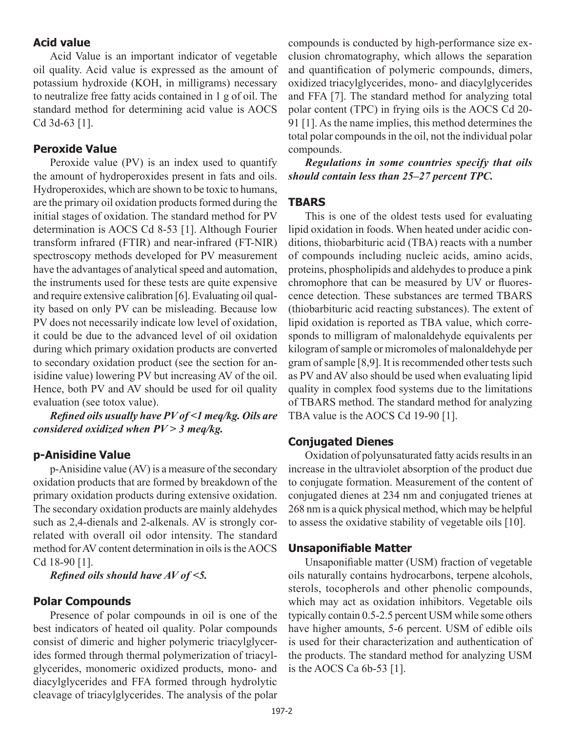#### **Acid value**

Acid Value is an important indicator of vegetable oil quality. Acid value is expressed as the amount of potassium hydroxide (KOH, in milligrams) necessary to neutralize free fatty acids contained in 1 g of oil. The standard method for determining acid value is AOCS Cd 3d-63 [1].

#### **Peroxide Value**

Peroxide value (PV) is an index used to quantify the amount of hydroperoxides present in fats and oils. Hydroperoxides, which are shown to be toxic to humans, are the primary oil oxidation products formed during the initial stages of oxidation. The standard method for PV determination is AOCS Cd 8-53 [1]. Although Fourier transform infrared (FTIR) and near-infrared (FT-NIR) spectroscopy methods developed for PV measurement have the advantages of analytical speed and automation, the instruments used for these tests are quite expensive and require extensive calibration [6]. Evaluating oil quality based on only PV can be misleading. Because low PV does not necessarily indicate low level of oxidation, it could be due to the advanced level of oil oxidation during which primary oxidation products are converted to secondary oxidation product (see the section for anisidine value) lowering PV but increasing AV of the oil. Hence, both PV and AV should be used for oil quality evaluation (see totox value).

*Refined oils usually have PV of <1 meq/kg. Oils are considered oxidized when PV > 3 meq/kg.*

#### **p-Anisidine Value**

p-Anisidine value (AV) is a measure of the secondary oxidation products that are formed by breakdown of the primary oxidation products during extensive oxidation. The secondary oxidation products are mainly aldehydes such as 2,4-dienals and 2-alkenals. AV is strongly correlated with overall oil odor intensity. The standard method for AV content determination in oils is the AOCS Cd 18-90 [1].

*Refined oils should have AV of <5.*

#### **Polar Compounds**

Presence of polar compounds in oil is one of the best indicators of heated oil quality. Polar compounds consist of dimeric and higher polymeric triacylglycerides formed through thermal polymerization of triacylglycerides, monomeric oxidized products, mono- and diacylglycerides and FFA formed through hydrolytic cleavage of triacylglycerides. The analysis of the polar compounds is conducted by high-performance size exclusion chromatography, which allows the separation and quantification of polymeric compounds, dimers, oxidized triacylglycerides, mono- and diacylglycerides and FFA [7]. The standard method for analyzing total polar content (TPC) in frying oils is the AOCS Cd 20- 91 [1]. As the name implies, this method determines the total polar compounds in the oil, not the individual polar compounds.

*Regulations in some countries specify that oils should contain less than 25–27 percent TPC.*

#### **TBARS**

This is one of the oldest tests used for evaluating lipid oxidation in foods. When heated under acidic conditions, thiobarbituric acid (TBA) reacts with a number of compounds including nucleic acids, amino acids, proteins, phospholipids and aldehydes to produce a pink chromophore that can be measured by UV or fluorescence detection. These substances are termed TBARS (thiobarbituric acid reacting substances). The extent of lipid oxidation is reported as TBA value, which corresponds to milligram of malonaldehyde equivalents per kilogram of sample or micromoles of malonaldehyde per gram of sample [8,9]. It is recommended other tests such as PV and AV also should be used when evaluating lipid quality in complex food systems due to the limitations of TBARS method. The standard method for analyzing TBA value is the AOCS Cd 19-90 [1].

#### **Conjugated Dienes**

Oxidation of polyunsaturated fatty acids results in an increase in the ultraviolet absorption of the product due to conjugate formation. Measurement of the content of conjugated dienes at 234 nm and conjugated trienes at 268 nm is a quick physical method, which may be helpful to assess the oxidative stability of vegetable oils [10].

#### **Unsaponifiable Matter**

Unsaponifiable matter (USM) fraction of vegetable oils naturally contains hydrocarbons, terpene alcohols, sterols, tocopherols and other phenolic compounds, which may act as oxidation inhibitors. Vegetable oils typically contain 0.5-2.5 percent USM while some others have higher amounts, 5-6 percent. USM of edible oils is used for their characterization and authentication of the products. The standard method for analyzing USM is the AOCS Ca 6b-53 [1].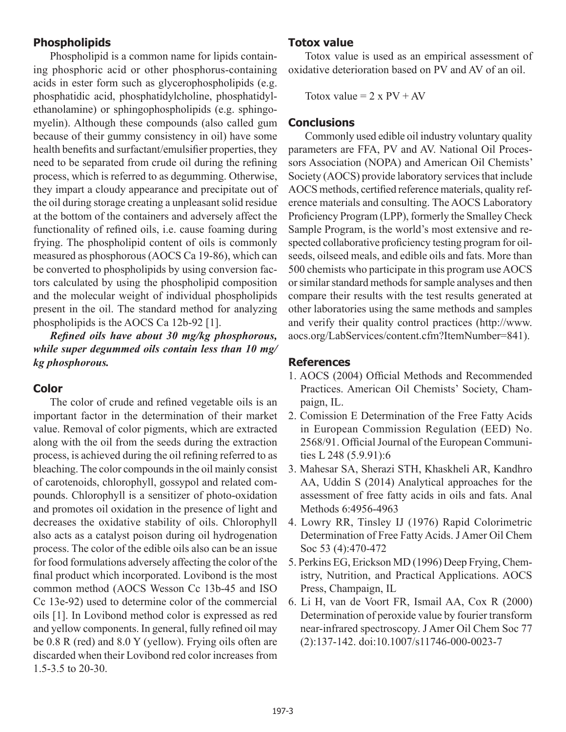### **Phospholipids**

Phospholipid is a common name for lipids containing phosphoric acid or other phosphorus-containing acids in ester form such as glycerophospholipids (e.g. phosphatidic acid, phosphatidylcholine, phosphatidylethanolamine) or sphingophospholipids (e.g. sphingomyelin). Although these compounds (also called gum because of their gummy consistency in oil) have some health benefits and surfactant/emulsifier properties, they need to be separated from crude oil during the refining process, which is referred to as degumming. Otherwise, they impart a cloudy appearance and precipitate out of the oil during storage creating a unpleasant solid residue at the bottom of the containers and adversely affect the functionality of refined oils, i.e. cause foaming during frying. The phospholipid content of oils is commonly measured as phosphorous (AOCS Ca 19-86), which can be converted to phospholipids by using conversion factors calculated by using the phospholipid composition and the molecular weight of individual phospholipids present in the oil. The standard method for analyzing phospholipids is the AOCS Ca 12b-92 [1].

*Refined oils have about 30 mg/kg phosphorous, while super degummed oils contain less than 10 mg/ kg phosphorous.*

#### **Color**

The color of crude and refined vegetable oils is an important factor in the determination of their market value. Removal of color pigments, which are extracted along with the oil from the seeds during the extraction process, is achieved during the oil refining referred to as bleaching. The color compounds in the oil mainly consist of carotenoids, chlorophyll, gossypol and related compounds. Chlorophyll is a sensitizer of photo-oxidation and promotes oil oxidation in the presence of light and decreases the oxidative stability of oils. Chlorophyll also acts as a catalyst poison during oil hydrogenation process. The color of the edible oils also can be an issue for food formulations adversely affecting the color of the final product which incorporated. Lovibond is the most common method (AOCS Wesson Cc 13b-45 and ISO Cc 13e-92) used to determine color of the commercial oils [1]. In Lovibond method color is expressed as red and yellow components. In general, fully refined oil may be 0.8 R (red) and 8.0 Y (yellow). Frying oils often are discarded when their Lovibond red color increases from 1.5-3.5 to 20-30.

#### **Totox value**

Totox value is used as an empirical assessment of oxidative deterioration based on PV and AV of an oil.

Totox value =  $2 \times PV + AV$ 

#### **Conclusions**

Commonly used edible oil industry voluntary quality parameters are FFA, PV and AV. National Oil Processors Association (NOPA) and American Oil Chemists' Society (AOCS) provide laboratory services that include AOCS methods, certified reference materials, quality reference materials and consulting. The AOCS Laboratory Proficiency Program (LPP), formerly the Smalley Check Sample Program, is the world's most extensive and respected collaborative proficiency testing program for oilseeds, oilseed meals, and edible oils and fats. More than 500 chemists who participate in this program use AOCS or similar standard methods for sample analyses and then compare their results with the test results generated at other laboratories using the same methods and samples and verify their quality control practices (http://www. aocs.org/LabServices/content.cfm?ItemNumber=841).

## **References**

- 1. AOCS (2004) Official Methods and Recommended Practices. American Oil Chemists' Society, Champaign, IL.
- 2. Comission E Determination of the Free Fatty Acids in European Commission Regulation (EED) No. 2568/91. Official Journal of the European Communities L 248 (5.9.91):6
- 3. Mahesar SA, Sherazi STH, Khaskheli AR, Kandhro AA, Uddin S (2014) Analytical approaches for the assessment of free fatty acids in oils and fats. Anal Methods 6:4956-4963
- 4. Lowry RR, Tinsley IJ (1976) Rapid Colorimetric Determination of Free Fatty Acids. J Amer Oil Chem Soc 53 (4):470-472
- 5. Perkins EG, Erickson MD (1996) Deep Frying, Chemistry, Nutrition, and Practical Applications. AOCS Press, Champaign, IL
- 6. Li H, van de Voort FR, Ismail AA, Cox R (2000) Determination of peroxide value by fourier transform near-infrared spectroscopy. J Amer Oil Chem Soc 77 (2):137-142. doi:10.1007/s11746-000-0023-7